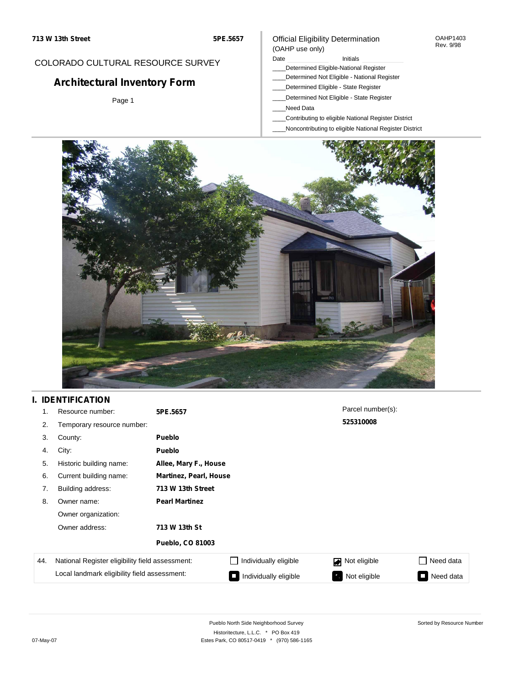#### OAHP1403 Rev. 9/98

### COLORADO CULTURAL RESOURCE SURVEY

# **Architectural Inventory Form**

Page 1

#### (OAHP use only) Date **Initials** Initials

Official Eligibility Determination

- \_\_\_\_Determined Eligible-National Register
- \_\_\_\_Determined Not Eligible National Register
- \_\_\_\_Determined Eligible State Register
- \_\_\_\_Determined Not Eligible State Register
- \_\_\_\_Need Data
- \_\_\_\_Contributing to eligible National Register District
- \_\_\_\_Noncontributing to eligible National Register District



## **I. IDENTIFICATION**

| 1.  | Resource number:                                | 5PE.5657                |                               | Parcel number(s):              |                 |  |  |  |
|-----|-------------------------------------------------|-------------------------|-------------------------------|--------------------------------|-----------------|--|--|--|
| 2.  | Temporary resource number:                      |                         |                               | 525310008                      |                 |  |  |  |
| 3.  | County:                                         | <b>Pueblo</b>           |                               |                                |                 |  |  |  |
| 4.  | City:                                           | <b>Pueblo</b>           |                               |                                |                 |  |  |  |
| 5.  | Historic building name:                         |                         | Allee, Mary F., House         |                                |                 |  |  |  |
| 6.  | Current building name:                          |                         | <b>Martinez, Pearl, House</b> |                                |                 |  |  |  |
| 7.  | Building address:                               | 713 W 13th Street       |                               |                                |                 |  |  |  |
| 8.  | Owner name:                                     | <b>Pearl Martinez</b>   |                               |                                |                 |  |  |  |
|     | Owner organization:                             |                         |                               |                                |                 |  |  |  |
|     | Owner address:                                  | 713 W 13th St           |                               |                                |                 |  |  |  |
|     |                                                 | <b>Pueblo, CO 81003</b> |                               |                                |                 |  |  |  |
| 44. | National Register eligibility field assessment: |                         | Individually eligible         | Not eligible<br>$\blacksquare$ | Need data       |  |  |  |
|     | Local landmark eligibility field assessment:    |                         | Individually eligible         | Not eligible                   | Need data<br>I. |  |  |  |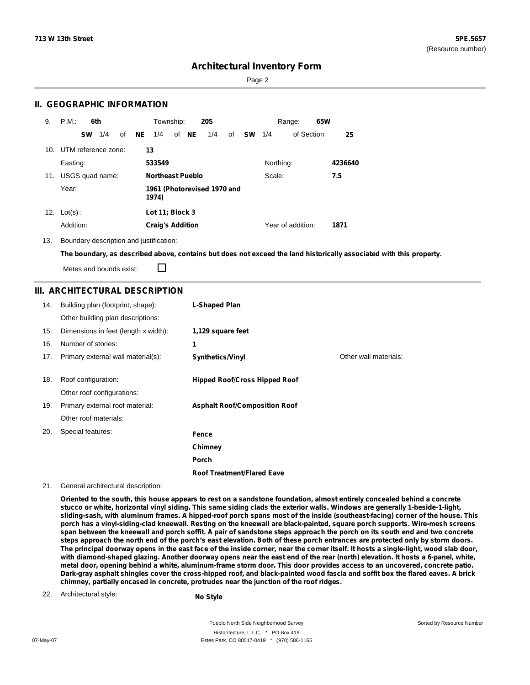Sorted by Resource Number

### **Architectural Inventory Form**

Page 2

### **II. GEOGRAPHIC INFORMATION**

| 9.  | P.M.                                          | 6th |     |    |     | Township:               |       | <b>20S</b> |    |           |           | Range:            | 65W |         |
|-----|-----------------------------------------------|-----|-----|----|-----|-------------------------|-------|------------|----|-----------|-----------|-------------------|-----|---------|
|     | <b>SW</b>                                     |     | 1/4 | of | NE. | 1/4                     | of NE | 1/4        | of | <b>SW</b> | 1/4       | of Section        |     | 25      |
|     | 10. UTM reference zone:                       |     |     |    | 13  |                         |       |            |    |           |           |                   |     |         |
|     | Easting:                                      |     |     |    |     | 533549                  |       |            |    |           | Northing: |                   |     | 4236640 |
| 11. | USGS quad name:                               |     |     |    |     | <b>Northeast Pueblo</b> |       |            |    |           | Scale:    |                   |     | 7.5     |
|     | Year:<br>1961 (Photorevised 1970 and<br>1974) |     |     |    |     |                         |       |            |    |           |           |                   |     |         |
| 12. | $Lot(s)$ :                                    |     |     |    |     | Lot 11; Block 3         |       |            |    |           |           |                   |     |         |
|     | Addition:                                     |     |     |    |     | <b>Craig's Addition</b> |       |            |    |           |           | Year of addition: |     | 1871    |

13. Boundary description and justification:

The boundary, as described above, contains but does not exceed the land historically associated with this property.

П Metes and bounds exist:

### **III. ARCHITECTURAL DESCRIPTION**

| 14. | Building plan (footprint, shape):    | L-Shaped Plan                        |                       |
|-----|--------------------------------------|--------------------------------------|-----------------------|
|     | Other building plan descriptions:    |                                      |                       |
| 15. | Dimensions in feet (length x width): | 1,129 square feet                    |                       |
| 16. | Number of stories:                   | 1                                    |                       |
| 17. | Primary external wall material(s):   | <b>Synthetics/Vinyl</b>              | Other wall materials: |
|     |                                      |                                      |                       |
| 18. | Roof configuration:                  | <b>Hipped Roof/Cross Hipped Roof</b> |                       |
|     | Other roof configurations:           |                                      |                       |
| 19. | Primary external roof material:      | <b>Asphalt Roof/Composition Roof</b> |                       |
|     | Other roof materials:                |                                      |                       |
| 20. | Special features:                    | Fence                                |                       |
|     |                                      | Chimney                              |                       |
|     |                                      | Porch                                |                       |
|     |                                      | <b>Roof Treatment/Flared Eave</b>    |                       |

21. General architectural description:

Oriented to the south, this house appears to rest on a sandstone foundation, almost entirely concealed behind a concrete stucco or white, horizontal vinyl siding. This same siding clads the exterior walls. Windows are generally 1-beside-1-light, sliding-sash, with aluminum frames. A hipped-roof porch spans most of the inside (southeast-facing) corner of the house. This porch has a vinyl-siding-clad kneewall. Resting on the kneewall are black-painted, square porch supports. Wire-mesh screens span between the kneewall and porch soffit. A pair of sandstone steps approach the porch on its south end and two concrete steps approach the north end of the porch's east elevation. Both of these porch entrances are protected only by storm doors. The principal doorway opens in the east face of the inside corner, near the corner itself. It hosts a single-light, wood slab door, with diamond-shaped glazing. Another doorway opens near the east end of the rear (north) elevation. It hosts a 6-panel, white, metal door, opening behind a white, aluminum-frame storm door. This door provides access to an uncovered, concrete patio. Dark-gray asphalt shingles cover the cross-hipped roof, and black-painted wood fascia and soffit box the flared eaves. A brick **chimney, partially encased in concrete, protrudes near the junction of the roof ridges.**

22. Architectural style:

**No Style**

Pueblo North Side Neighborhood Survey Historitecture, L.L.C. \* PO Box 419 07-May-07 **Estes Park, CO 80517-0419** \* (970) 586-1165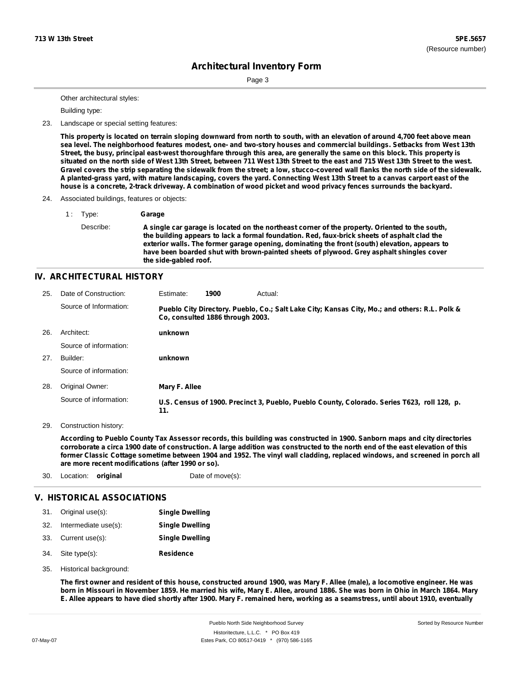Page 3

Other architectural styles:

Building type:

23. Landscape or special setting features:

This property is located on terrain sloping downward from north to south, with an elevation of around 4,700 feet above mean sea level. The neighborhood features modest, one- and two-story houses and commercial buildings. Setbacks from West 13th Street, the busy, principal east-west thoroughfare through this area, are generally the same on this block. This property is situated on the north side of West 13th Street, between 711 West 13th Street to the east and 715 West 13th Street to the west. Gravel covers the strip separating the sidewalk from the street; a low, stucco-covered wall flanks the north side of the sidewalk. A planted-grass yard, with mature landscaping, covers the yard. Connecting West 13th Street to a canvas carport east of the house is a concrete, 2-track driveway. A combination of wood picket and wood privacy fences surrounds the backyard.

24. Associated buildings, features or objects:

1 : Type: **Garage** Describe: **A single car garage is located on the northeast corner of the property. Oriented to the south, the building appears to lack a formal foundation. Red, faux-brick sheets of asphalt clad the exterior walls. The former garage opening, dominating the front (south) elevation, appears to have been boarded shut with brown-painted sheets of plywood. Grey asphalt shingles cover the side-gabled roof.**

#### **IV. ARCHITECTURAL HISTORY**

| 25. | Date of Construction:  | Estimate:     | 1900                             | Actual:                                                                                       |
|-----|------------------------|---------------|----------------------------------|-----------------------------------------------------------------------------------------------|
|     | Source of Information: |               | Co, consulted 1886 through 2003. | Pueblo City Directory. Pueblo, Co.; Salt Lake City; Kansas City, Mo.; and others: R.L. Polk & |
| 26. | Architect:             | unknown       |                                  |                                                                                               |
|     | Source of information: |               |                                  |                                                                                               |
| 27. | Builder:               | unknown       |                                  |                                                                                               |
|     | Source of information: |               |                                  |                                                                                               |
| 28. | Original Owner:        | Mary F. Allee |                                  |                                                                                               |
|     | Source of information: | 11.           |                                  | U.S. Census of 1900. Precinct 3, Pueblo, Pueblo County, Colorado. Series T623, roll 128, p.   |

29. Construction history:

According to Pueblo County Tax Assessor records, this building was constructed in 1900. Sanborn maps and city directories corroborate a circa 1900 date of construction. A large addition was constructed to the north end of the east elevation of this former Classic Cottage sometime between 1904 and 1952. The vinyl wall cladding, replaced windows, and screened in porch all **are more recent modifications (after 1990 or so).**

30. Location: **original** Date of move(s):

### **V. HISTORICAL ASSOCIATIONS**

|     | 31. Original use(s): | <b>Single Dwelling</b> |
|-----|----------------------|------------------------|
| 32. | Intermediate use(s): | <b>Single Dwelling</b> |
| 33. | Current use(s):      | <b>Single Dwelling</b> |

- **Residence** Site type(s): 34.
- 35. Historical background:

The first owner and resident of this house, constructed around 1900, was Mary F. Allee (male), a locomotive engineer. He was born in Missouri in November 1859. He married his wife, Mary E. Allee, around 1886. She was born in Ohio in March 1864. Mary E. Allee appears to have died shortly after 1900. Mary F. remained here, working as a seamstress, until about 1910, eventually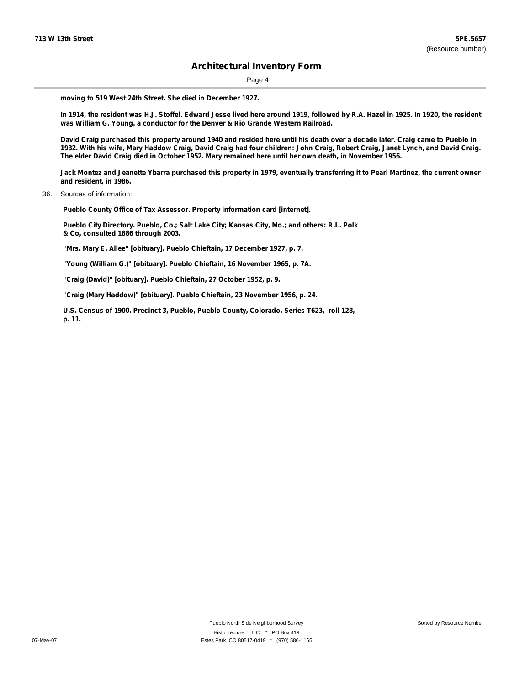Page 4

**moving to 519 West 24th Street. She died in December 1927.**

In 1914, the resident was H.J. Stoffel. Edward Jesse lived here around 1919, followed by R.A. Hazel in 1925. In 1920, the resident **was William G. Young, a conductor for the Denver & Rio Grande Western Railroad.**

David Craig purchased this property around 1940 and resided here until his death over a decade later. Craig came to Pueblo in 1932. With his wife, Mary Haddow Craig, David Craig had four children: John Craig, Robert Craig, Janet Lynch, and David Craig. The elder David Craig died in October 1952. Mary remained here until her own death, in November 1956.

Jack Montez and Jeanette Ybarra purchased this property in 1979, eventually transferring it to Pearl Martinez, the current owner **and resident, in 1986.**

36. Sources of information:

**Pueblo County Office of Tax Assessor. Property information card [internet].**

**Pueblo City Directory. Pueblo, Co.; Salt Lake City; Kansas City, Mo.; and others: R.L. Polk & Co, consulted 1886 through 2003.**

**"Mrs. Mary E. Allee" [obituary]. Pueblo Chieftain, 17 December 1927, p. 7.**

**"Young (William G.)" [obituary]. Pueblo Chieftain, 16 November 1965, p. 7A.**

**"Craig (David)" [obituary]. Pueblo Chieftain, 27 October 1952, p. 9.**

**"Craig (Mary Haddow)" [obituary]. Pueblo Chieftain, 23 November 1956, p. 24.**

**U.S. Census of 1900. Precinct 3, Pueblo, Pueblo County, Colorado. Series T623, roll 128, p. 11.**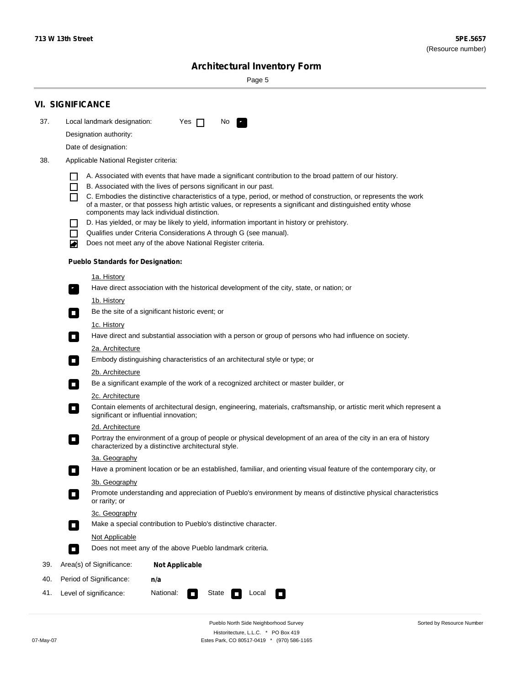۰

Sorted by Resource Number

# **Architectural Inventory Form**

Page 5

|                  |                                                                                        | <b>VI. SIGNIFICANCE</b>                  |                                                                                                                                                                              |  |  |  |  |  |
|------------------|----------------------------------------------------------------------------------------|------------------------------------------|------------------------------------------------------------------------------------------------------------------------------------------------------------------------------|--|--|--|--|--|
| 37.              |                                                                                        | Local landmark designation:              | Yes $\Box$<br>No.<br>$\mathcal{F}_\alpha$                                                                                                                                    |  |  |  |  |  |
|                  | Designation authority:                                                                 |                                          |                                                                                                                                                                              |  |  |  |  |  |
|                  |                                                                                        | Date of designation:                     |                                                                                                                                                                              |  |  |  |  |  |
| 38.              |                                                                                        | Applicable National Register criteria:   |                                                                                                                                                                              |  |  |  |  |  |
|                  |                                                                                        |                                          |                                                                                                                                                                              |  |  |  |  |  |
|                  | H<br>$\Box$                                                                            |                                          | A. Associated with events that have made a significant contribution to the broad pattern of our history.<br>B. Associated with the lives of persons significant in our past. |  |  |  |  |  |
|                  | П                                                                                      |                                          | C. Embodies the distinctive characteristics of a type, period, or method of construction, or represents the work                                                             |  |  |  |  |  |
|                  |                                                                                        |                                          | of a master, or that possess high artistic values, or represents a significant and distinguished entity whose<br>components may lack individual distinction.                 |  |  |  |  |  |
|                  |                                                                                        |                                          | D. Has yielded, or may be likely to yield, information important in history or prehistory.                                                                                   |  |  |  |  |  |
|                  | $\blacksquare$                                                                         |                                          | Qualifies under Criteria Considerations A through G (see manual).                                                                                                            |  |  |  |  |  |
|                  | ਵ                                                                                      |                                          | Does not meet any of the above National Register criteria.                                                                                                                   |  |  |  |  |  |
|                  |                                                                                        | <b>Pueblo Standards for Designation:</b> |                                                                                                                                                                              |  |  |  |  |  |
|                  |                                                                                        | 1a. History                              |                                                                                                                                                                              |  |  |  |  |  |
|                  | $\mathbf{r}_\perp$                                                                     |                                          | Have direct association with the historical development of the city, state, or nation; or                                                                                    |  |  |  |  |  |
|                  |                                                                                        | <u>1b. History</u>                       |                                                                                                                                                                              |  |  |  |  |  |
|                  | $\Box$                                                                                 |                                          | Be the site of a significant historic event; or                                                                                                                              |  |  |  |  |  |
|                  |                                                                                        | 1c. History                              |                                                                                                                                                                              |  |  |  |  |  |
|                  | $\Box$                                                                                 |                                          | Have direct and substantial association with a person or group of persons who had influence on society.                                                                      |  |  |  |  |  |
|                  |                                                                                        | 2a. Architecture                         |                                                                                                                                                                              |  |  |  |  |  |
|                  | $\Box$                                                                                 |                                          | Embody distinguishing characteristics of an architectural style or type; or                                                                                                  |  |  |  |  |  |
|                  |                                                                                        | 2b. Architecture                         |                                                                                                                                                                              |  |  |  |  |  |
|                  | $\overline{\phantom{a}}$                                                               |                                          | Be a significant example of the work of a recognized architect or master builder, or                                                                                         |  |  |  |  |  |
| 2c. Architecture |                                                                                        |                                          |                                                                                                                                                                              |  |  |  |  |  |
|                  | $\overline{\phantom{a}}$                                                               |                                          | Contain elements of architectural design, engineering, materials, craftsmanship, or artistic merit which represent a<br>significant or influential innovation;               |  |  |  |  |  |
|                  |                                                                                        | 2d. Architecture                         |                                                                                                                                                                              |  |  |  |  |  |
|                  | $\overline{\phantom{a}}$                                                               |                                          | Portray the environment of a group of people or physical development of an area of the city in an era of history<br>characterized by a distinctive architectural style.      |  |  |  |  |  |
|                  |                                                                                        | 3a. Geography                            |                                                                                                                                                                              |  |  |  |  |  |
|                  |                                                                                        |                                          | Have a prominent location or be an established, familiar, and orienting visual feature of the contemporary city, or                                                          |  |  |  |  |  |
|                  |                                                                                        | 3b. Geography                            |                                                                                                                                                                              |  |  |  |  |  |
|                  |                                                                                        | or rarity; or                            | Promote understanding and appreciation of Pueblo's environment by means of distinctive physical characteristics                                                              |  |  |  |  |  |
|                  |                                                                                        | 3c. Geography                            |                                                                                                                                                                              |  |  |  |  |  |
|                  | $\blacksquare$                                                                         |                                          | Make a special contribution to Pueblo's distinctive character.                                                                                                               |  |  |  |  |  |
|                  |                                                                                        | Not Applicable                           |                                                                                                                                                                              |  |  |  |  |  |
|                  | $\Box$                                                                                 |                                          | Does not meet any of the above Pueblo landmark criteria.                                                                                                                     |  |  |  |  |  |
| 39.              |                                                                                        | Area(s) of Significance:                 | <b>Not Applicable</b>                                                                                                                                                        |  |  |  |  |  |
| 40.              |                                                                                        | Period of Significance:                  | n/a                                                                                                                                                                          |  |  |  |  |  |
| 41.              | National:<br>Level of significance:<br>State<br>Local<br>$\overline{\phantom{a}}$<br>◨ |                                          |                                                                                                                                                                              |  |  |  |  |  |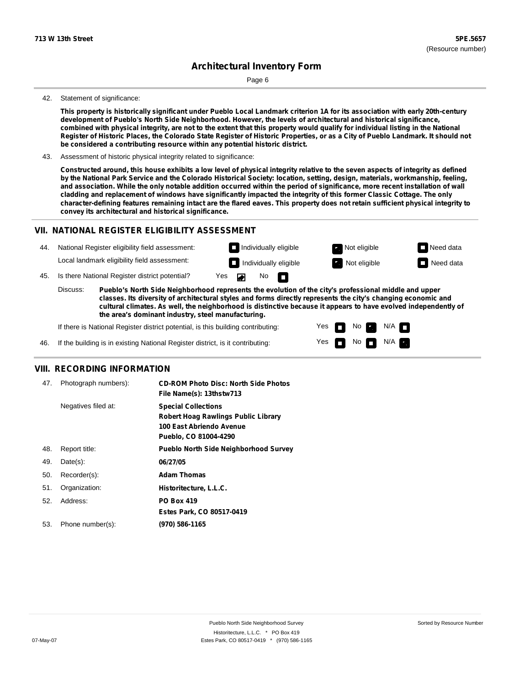Page 6

#### 42. Statement of significance:

This property is historically significant under Pueblo Local Landmark criterion 1A for its association with early 20th-century **development of Pueblo's North Side Neighborhood. However, the levels of architectural and historical significance,** combined with physical integrity, are not to the extent that this property would qualify for individual listing in the National Register of Historic Places, the Colorado State Register of Historic Properties, or as a City of Pueblo Landmark. It should not **be considered a contributing resource within any potential historic district.**

43. Assessment of historic physical integrity related to significance:

Constructed around, this house exhibits a low level of physical integrity relative to the seven aspects of integrity as defined by the National Park Service and the Colorado Historical Society: location, setting, design, materials, workmanship, feeling, and association. While the only notable addition occurred within the period of significance, more recent installation of wall cladding and replacement of windows have significantly impacted the integrity of this former Classic Cottage. The only character-defining features remaining intact are the flared eaves. This property does not retain sufficient physical integrity to **convey its architectural and historical significance.**

#### **VII. NATIONAL REGISTER ELIGIBILITY ASSESSMENT**



Yes Yes

 $\overline{\phantom{a}}$ m No

No  $\blacksquare$  N/A  $\blacksquare$ 

 $N/A$   $\blacksquare$ 

**cultural climates. As well, the neighborhood is distinctive because it appears to have evolved independently of the area's dominant industry, steel manufacturing.**

If there is National Register district potential, is this building contributing:

If the building is in existing National Register district, is it contributing: 46.

#### **VIII. RECORDING INFORMATION**

| 47. | Photograph numbers): | <b>CD-ROM Photo Disc: North Side Photos</b><br>File Name(s): 13thstw713                                                       |
|-----|----------------------|-------------------------------------------------------------------------------------------------------------------------------|
|     | Negatives filed at:  | <b>Special Collections</b><br><b>Robert Hoag Rawlings Public Library</b><br>100 East Abriendo Avenue<br>Pueblo, CO 81004-4290 |
| 48. | Report title:        | <b>Pueblo North Side Neighborhood Survey</b>                                                                                  |
| 49. | $Date(s)$ :          | 06/27/05                                                                                                                      |
| 50. | Recorder(s):         | <b>Adam Thomas</b>                                                                                                            |
| 51. | Organization:        | Historitecture, L.L.C.                                                                                                        |
| 52. | Address:             | <b>PO Box 419</b>                                                                                                             |
|     |                      | Estes Park, CO 80517-0419                                                                                                     |
| 53. | Phone number(s):     | (970) 586-1165                                                                                                                |
|     |                      |                                                                                                                               |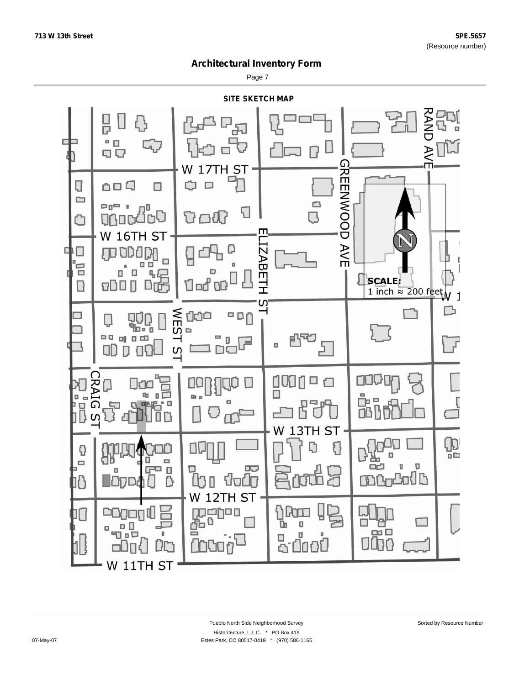Page 7